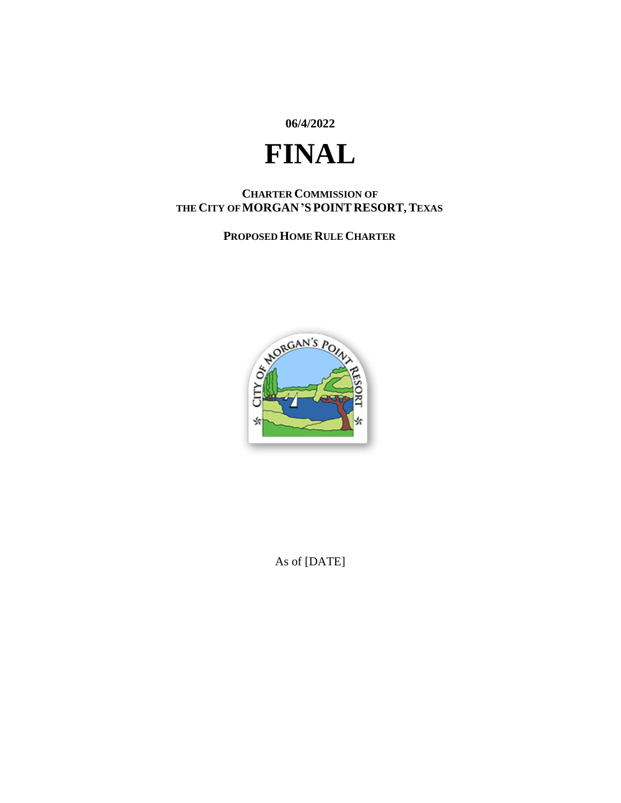**06/4/2022**

# **FINAL**

## **CHARTER COMMISSION OF THE CITY OF MORGAN'S POINT RESORT,TEXAS**

# **PROPOSED HOME RULE CHARTER**



As of [DATE]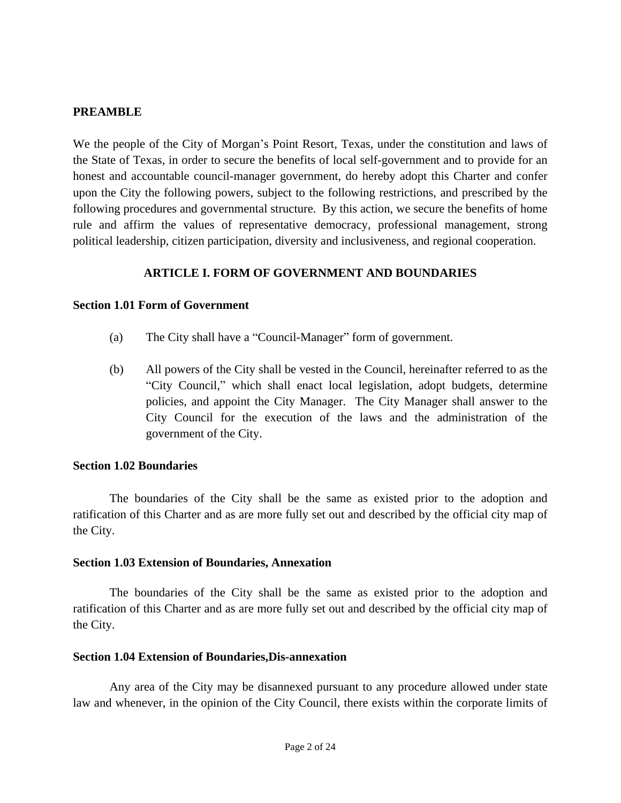#### **PREAMBLE**

We the people of the City of Morgan's Point Resort, Texas, under the constitution and laws of the State of Texas, in order to secure the benefits of local self-government and to provide for an honest and accountable council-manager government, do hereby adopt this Charter and confer upon the City the following powers, subject to the following restrictions, and prescribed by the following procedures and governmental structure. By this action, we secure the benefits of home rule and affirm the values of representative democracy, professional management, strong political leadership, citizen participation, diversity and inclusiveness, and regional cooperation.

## **ARTICLE I. FORM OF GOVERNMENT AND BOUNDARIES**

#### **Section 1.01 Form of Government**

- (a) The City shall have a "Council-Manager" form of government.
- (b) All powers of the City shall be vested in the Council, hereinafter referred to as the "City Council," which shall enact local legislation, adopt budgets, determine policies, and appoint the City Manager. The City Manager shall answer to the City Council for the execution of the laws and the administration of the government of the City.

#### **Section 1.02 Boundaries**

The boundaries of the City shall be the same as existed prior to the adoption and ratification of this Charter and as are more fully set out and described by the official city map of the City.

#### **Section 1.03 Extension of Boundaries, Annexation**

The boundaries of the City shall be the same as existed prior to the adoption and ratification of this Charter and as are more fully set out and described by the official city map of the City.

#### **Section 1.04 Extension of Boundaries,Dis-annexation**

Any area of the City may be disannexed pursuant to any procedure allowed under state law and whenever, in the opinion of the City Council, there exists within the corporate limits of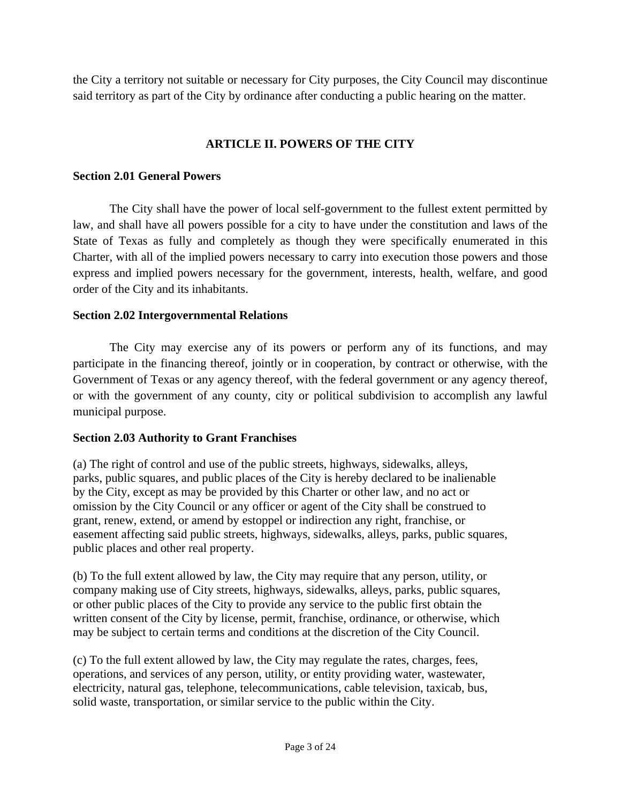the City a territory not suitable or necessary for City purposes, the City Council may discontinue said territory as part of the City by ordinance after conducting a public hearing on the matter.

# **ARTICLE II. POWERS OF THE CITY**

# **Section 2.01 General Powers**

The City shall have the power of local self-government to the fullest extent permitted by law, and shall have all powers possible for a city to have under the constitution and laws of the State of Texas as fully and completely as though they were specifically enumerated in this Charter, with all of the implied powers necessary to carry into execution those powers and those express and implied powers necessary for the government, interests, health, welfare, and good order of the City and its inhabitants.

# **Section 2.02 Intergovernmental Relations**

The City may exercise any of its powers or perform any of its functions, and may participate in the financing thereof, jointly or in cooperation, by contract or otherwise, with the Government of Texas or any agency thereof, with the federal government or any agency thereof, or with the government of any county, city or political subdivision to accomplish any lawful municipal purpose.

# **Section 2.03 Authority to Grant Franchises**

(a) The right of control and use of the public streets, highways, sidewalks, alleys, parks, public squares, and public places of the City is hereby declared to be inalienable by the City, except as may be provided by this Charter or other law, and no act or omission by the City Council or any officer or agent of the City shall be construed to grant, renew, extend, or amend by estoppel or indirection any right, franchise, or easement affecting said public streets, highways, sidewalks, alleys, parks, public squares, public places and other real property.

(b) To the full extent allowed by law, the City may require that any person, utility, or company making use of City streets, highways, sidewalks, alleys, parks, public squares, or other public places of the City to provide any service to the public first obtain the written consent of the City by license, permit, franchise, ordinance, or otherwise, which may be subject to certain terms and conditions at the discretion of the City Council.

(c) To the full extent allowed by law, the City may regulate the rates, charges, fees, operations, and services of any person, utility, or entity providing water, wastewater, electricity, natural gas, telephone, telecommunications, cable television, taxicab, bus, solid waste, transportation, or similar service to the public within the City.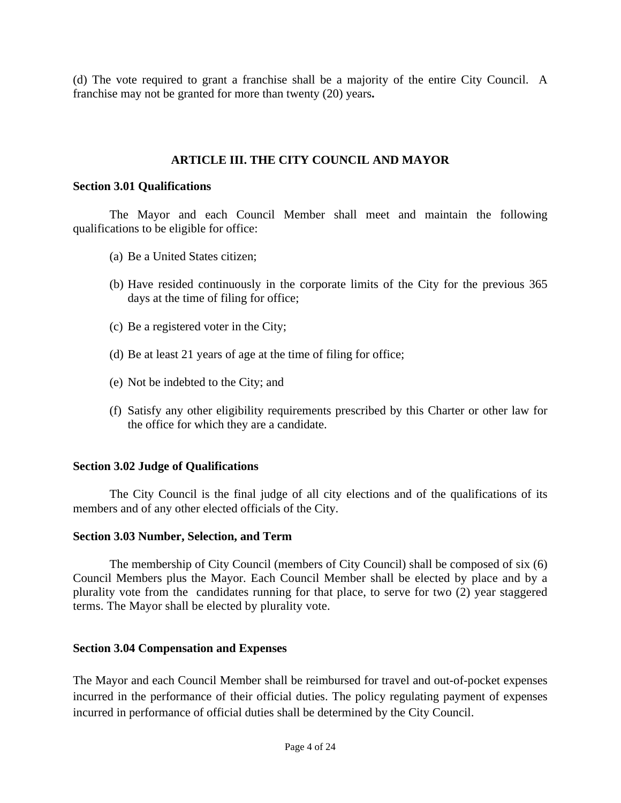(d) The vote required to grant a franchise shall be a majority of the entire City Council. A franchise may not be granted for more than twenty (20) years**.**

# **ARTICLE III. THE CITY COUNCIL AND MAYOR**

## **Section 3.01 Qualifications**

The Mayor and each Council Member shall meet and maintain the following qualifications to be eligible for office:

- (a) Be a United States citizen;
- (b) Have resided continuously in the corporate limits of the City for the previous 365 days at the time of filing for office;
- (c) Be a registered voter in the City;
- (d) Be at least 21 years of age at the time of filing for office;
- (e) Not be indebted to the City; and
- (f) Satisfy any other eligibility requirements prescribed by this Charter or other law for the office for which they are a candidate.

# **Section 3.02 Judge of Qualifications**

The City Council is the final judge of all city elections and of the qualifications of its members and of any other elected officials of the City.

# **Section 3.03 Number, Selection, and Term**

The membership of City Council (members of City Council) shall be composed of six (6) Council Members plus the Mayor. Each Council Member shall be elected by place and by a plurality vote from the candidates running for that place, to serve for two (2) year staggered terms. The Mayor shall be elected by plurality vote.

# **Section 3.04 Compensation and Expenses**

The Mayor and each Council Member shall be reimbursed for travel and out-of-pocket expenses incurred in the performance of their official duties. The policy regulating payment of expenses incurred in performance of official duties shall be determined by the City Council.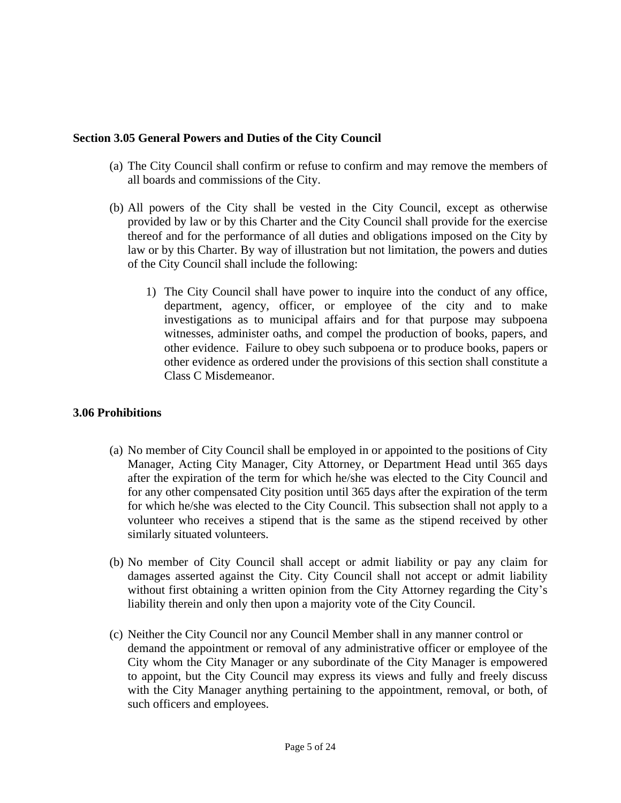## **Section 3.05 General Powers and Duties of the City Council**

- (a) The City Council shall confirm or refuse to confirm and may remove the members of all boards and commissions of the City.
- (b) All powers of the City shall be vested in the City Council, except as otherwise provided by law or by this Charter and the City Council shall provide for the exercise thereof and for the performance of all duties and obligations imposed on the City by law or by this Charter. By way of illustration but not limitation, the powers and duties of the City Council shall include the following:
	- 1) The City Council shall have power to inquire into the conduct of any office, department, agency, officer, or employee of the city and to make investigations as to municipal affairs and for that purpose may subpoena witnesses, administer oaths, and compel the production of books, papers, and other evidence. Failure to obey such subpoena or to produce books, papers or other evidence as ordered under the provisions of this section shall constitute a Class C Misdemeanor.

# **3.06 Prohibitions**

- (a) No member of City Council shall be employed in or appointed to the positions of City Manager, Acting City Manager, City Attorney, or Department Head until 365 days after the expiration of the term for which he/she was elected to the City Council and for any other compensated City position until 365 days after the expiration of the term for which he/she was elected to the City Council. This subsection shall not apply to a volunteer who receives a stipend that is the same as the stipend received by other similarly situated volunteers.
- (b) No member of City Council shall accept or admit liability or pay any claim for damages asserted against the City. City Council shall not accept or admit liability without first obtaining a written opinion from the City Attorney regarding the City's liability therein and only then upon a majority vote of the City Council.
- (c) Neither the City Council nor any Council Member shall in any manner control or demand the appointment or removal of any administrative officer or employee of the City whom the City Manager or any subordinate of the City Manager is empowered to appoint, but the City Council may express its views and fully and freely discuss with the City Manager anything pertaining to the appointment, removal, or both, of such officers and employees.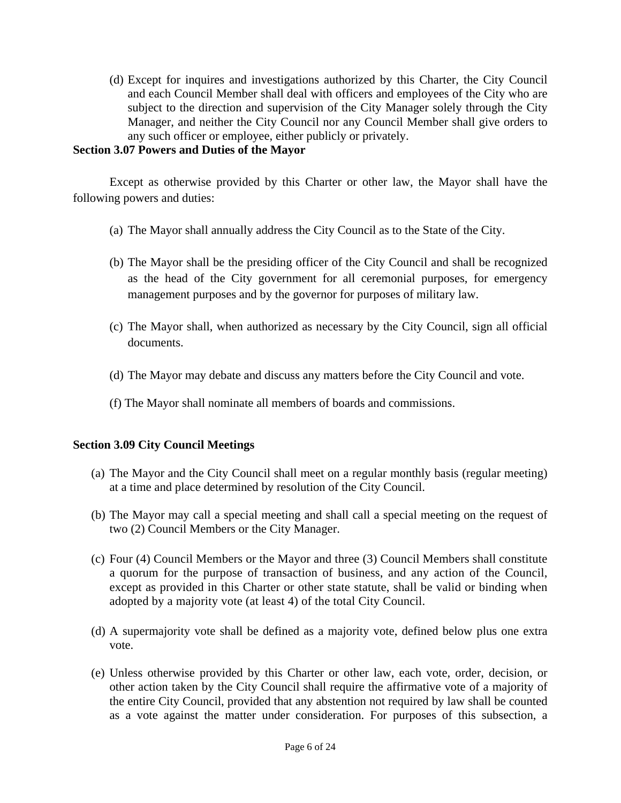(d) Except for inquires and investigations authorized by this Charter, the City Council and each Council Member shall deal with officers and employees of the City who are subject to the direction and supervision of the City Manager solely through the City Manager, and neither the City Council nor any Council Member shall give orders to any such officer or employee, either publicly or privately.

# **Section 3.07 Powers and Duties of the Mayor**

Except as otherwise provided by this Charter or other law, the Mayor shall have the following powers and duties:

- (a) The Mayor shall annually address the City Council as to the State of the City.
- (b) The Mayor shall be the presiding officer of the City Council and shall be recognized as the head of the City government for all ceremonial purposes, for emergency management purposes and by the governor for purposes of military law.
- (c) The Mayor shall, when authorized as necessary by the City Council, sign all official documents.
- (d) The Mayor may debate and discuss any matters before the City Council and vote.
- (f) The Mayor shall nominate all members of boards and commissions.

# **Section 3.09 City Council Meetings**

- (a) The Mayor and the City Council shall meet on a regular monthly basis (regular meeting) at a time and place determined by resolution of the City Council.
- (b) The Mayor may call a special meeting and shall call a special meeting on the request of two (2) Council Members or the City Manager.
- (c) Four (4) Council Members or the Mayor and three (3) Council Members shall constitute a quorum for the purpose of transaction of business, and any action of the Council, except as provided in this Charter or other state statute, shall be valid or binding when adopted by a majority vote (at least 4) of the total City Council.
- (d) A supermajority vote shall be defined as a majority vote, defined below plus one extra vote.
- (e) Unless otherwise provided by this Charter or other law, each vote, order, decision, or other action taken by the City Council shall require the affirmative vote of a majority of the entire City Council, provided that any abstention not required by law shall be counted as a vote against the matter under consideration. For purposes of this subsection, a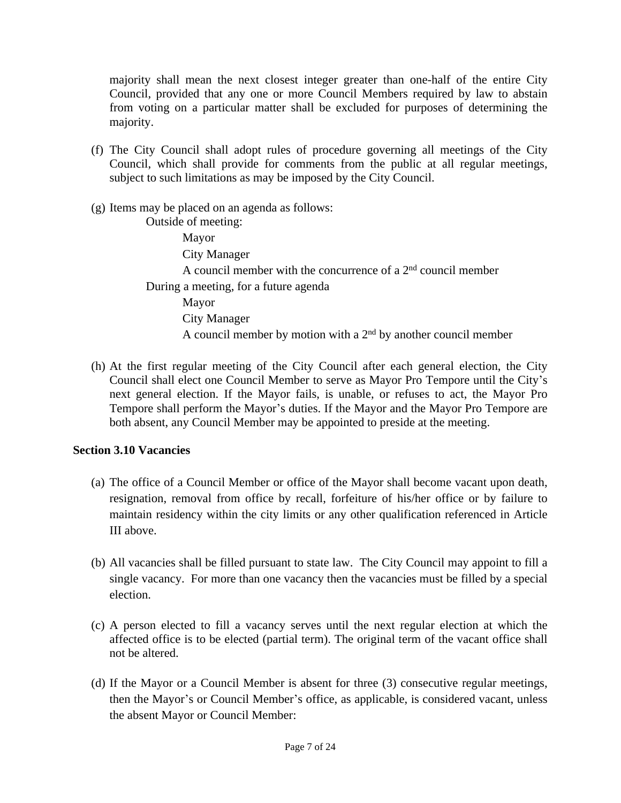majority shall mean the next closest integer greater than one-half of the entire City Council, provided that any one or more Council Members required by law to abstain from voting on a particular matter shall be excluded for purposes of determining the majority.

- (f) The City Council shall adopt rules of procedure governing all meetings of the City Council, which shall provide for comments from the public at all regular meetings, subject to such limitations as may be imposed by the City Council.
- (g) Items may be placed on an agenda as follows:

Outside of meeting: Mayor City Manager A council member with the concurrence of a  $2<sup>nd</sup>$  council member During a meeting, for a future agenda Mayor City Manager A council member by motion with a 2nd by another council member

(h) At the first regular meeting of the City Council after each general election, the City Council shall elect one Council Member to serve as Mayor Pro Tempore until the City's next general election. If the Mayor fails, is unable, or refuses to act, the Mayor Pro Tempore shall perform the Mayor's duties. If the Mayor and the Mayor Pro Tempore are both absent, any Council Member may be appointed to preside at the meeting.

# **Section 3.10 Vacancies**

- (a) The office of a Council Member or office of the Mayor shall become vacant upon death, resignation, removal from office by recall, forfeiture of his/her office or by failure to maintain residency within the city limits or any other qualification referenced in Article III above.
- (b) All vacancies shall be filled pursuant to state law. The City Council may appoint to fill a single vacancy. For more than one vacancy then the vacancies must be filled by a special election.
- (c) A person elected to fill a vacancy serves until the next regular election at which the affected office is to be elected (partial term). The original term of the vacant office shall not be altered.
- (d) If the Mayor or a Council Member is absent for three (3) consecutive regular meetings, then the Mayor's or Council Member's office, as applicable, is considered vacant, unless the absent Mayor or Council Member: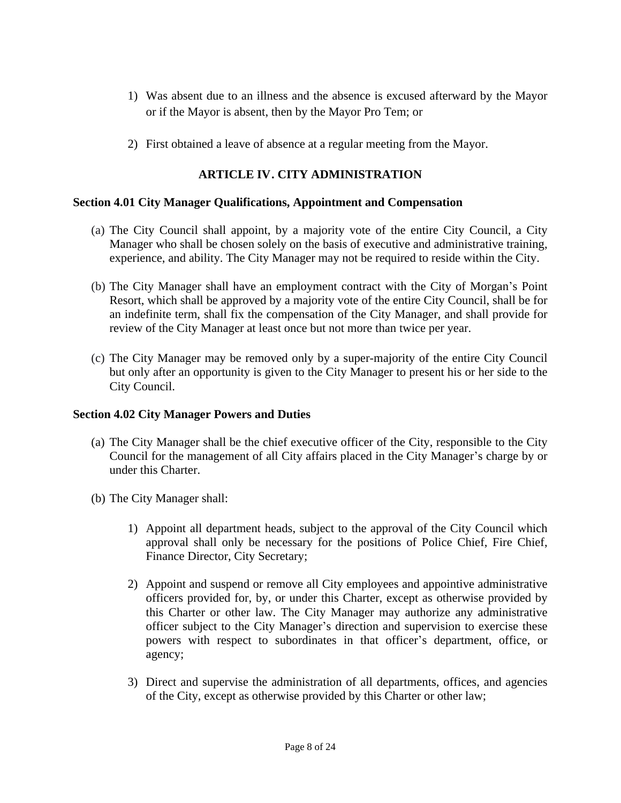- 1) Was absent due to an illness and the absence is excused afterward by the Mayor or if the Mayor is absent, then by the Mayor Pro Tem; or
- 2) First obtained a leave of absence at a regular meeting from the Mayor.

# **ARTICLE IV. CITY ADMINISTRATION**

## **Section 4.01 City Manager Qualifications, Appointment and Compensation**

- (a) The City Council shall appoint, by a majority vote of the entire City Council, a City Manager who shall be chosen solely on the basis of executive and administrative training, experience, and ability. The City Manager may not be required to reside within the City.
- (b) The City Manager shall have an employment contract with the City of Morgan's Point Resort, which shall be approved by a majority vote of the entire City Council, shall be for an indefinite term, shall fix the compensation of the City Manager, and shall provide for review of the City Manager at least once but not more than twice per year.
- (c) The City Manager may be removed only by a super-majority of the entire City Council but only after an opportunity is given to the City Manager to present his or her side to the City Council.

# **Section 4.02 City Manager Powers and Duties**

- (a) The City Manager shall be the chief executive officer of the City, responsible to the City Council for the management of all City affairs placed in the City Manager's charge by or under this Charter.
- (b) The City Manager shall:
	- 1) Appoint all department heads, subject to the approval of the City Council which approval shall only be necessary for the positions of Police Chief, Fire Chief, Finance Director, City Secretary;
	- 2) Appoint and suspend or remove all City employees and appointive administrative officers provided for, by, or under this Charter, except as otherwise provided by this Charter or other law. The City Manager may authorize any administrative officer subject to the City Manager's direction and supervision to exercise these powers with respect to subordinates in that officer's department, office, or agency;
	- 3) Direct and supervise the administration of all departments, offices, and agencies of the City, except as otherwise provided by this Charter or other law;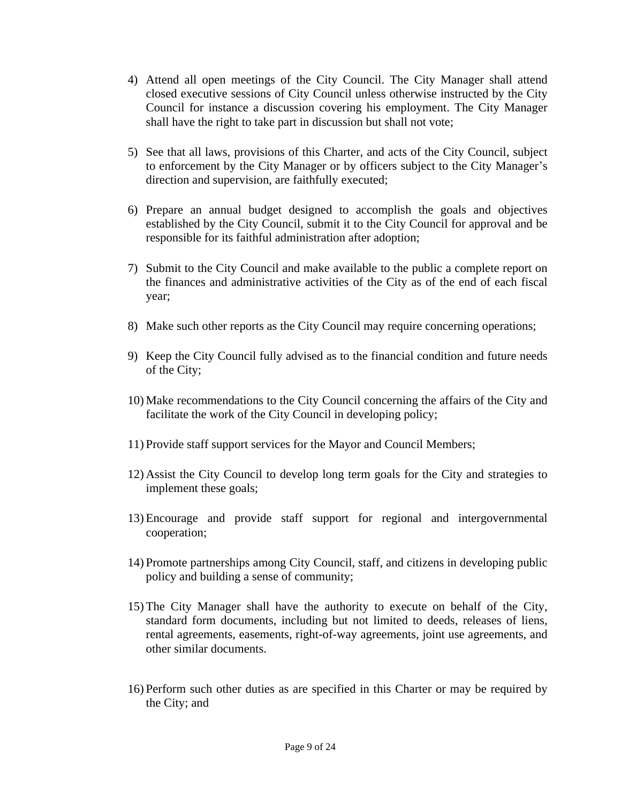- 4) Attend all open meetings of the City Council. The City Manager shall attend closed executive sessions of City Council unless otherwise instructed by the City Council for instance a discussion covering his employment. The City Manager shall have the right to take part in discussion but shall not vote;
- 5) See that all laws, provisions of this Charter, and acts of the City Council, subject to enforcement by the City Manager or by officers subject to the City Manager's direction and supervision, are faithfully executed;
- 6) Prepare an annual budget designed to accomplish the goals and objectives established by the City Council, submit it to the City Council for approval and be responsible for its faithful administration after adoption;
- 7) Submit to the City Council and make available to the public a complete report on the finances and administrative activities of the City as of the end of each fiscal year;
- 8) Make such other reports as the City Council may require concerning operations;
- 9) Keep the City Council fully advised as to the financial condition and future needs of the City;
- 10) Make recommendations to the City Council concerning the affairs of the City and facilitate the work of the City Council in developing policy;
- 11) Provide staff support services for the Mayor and Council Members;
- 12) Assist the City Council to develop long term goals for the City and strategies to implement these goals;
- 13) Encourage and provide staff support for regional and intergovernmental cooperation;
- 14) Promote partnerships among City Council, staff, and citizens in developing public policy and building a sense of community;
- 15) The City Manager shall have the authority to execute on behalf of the City, standard form documents, including but not limited to deeds, releases of liens, rental agreements, easements, right-of-way agreements, joint use agreements, and other similar documents.
- 16) Perform such other duties as are specified in this Charter or may be required by the City; and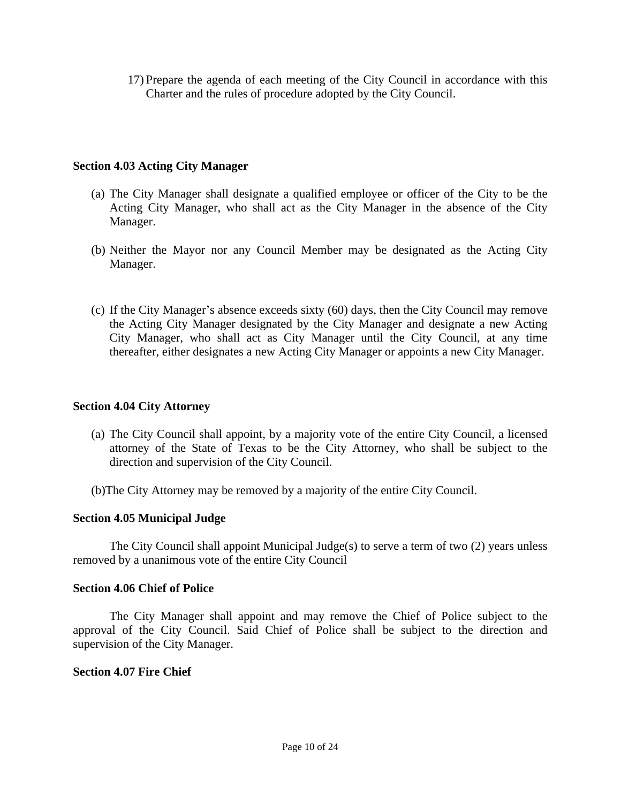17) Prepare the agenda of each meeting of the City Council in accordance with this Charter and the rules of procedure adopted by the City Council.

#### **Section 4.03 Acting City Manager**

- (a) The City Manager shall designate a qualified employee or officer of the City to be the Acting City Manager, who shall act as the City Manager in the absence of the City Manager.
- (b) Neither the Mayor nor any Council Member may be designated as the Acting City Manager.
- (c) If the City Manager's absence exceeds sixty (60) days, then the City Council may remove the Acting City Manager designated by the City Manager and designate a new Acting City Manager, who shall act as City Manager until the City Council, at any time thereafter, either designates a new Acting City Manager or appoints a new City Manager.

## **Section 4.04 City Attorney**

- (a) The City Council shall appoint, by a majority vote of the entire City Council, a licensed attorney of the State of Texas to be the City Attorney, who shall be subject to the direction and supervision of the City Council.
- (b)The City Attorney may be removed by a majority of the entire City Council.

# **Section 4.05 Municipal Judge**

The City Council shall appoint Municipal Judge(s) to serve a term of two (2) years unless removed by a unanimous vote of the entire City Council

#### **Section 4.06 Chief of Police**

The City Manager shall appoint and may remove the Chief of Police subject to the approval of the City Council. Said Chief of Police shall be subject to the direction and supervision of the City Manager.

#### **Section 4.07 Fire Chief**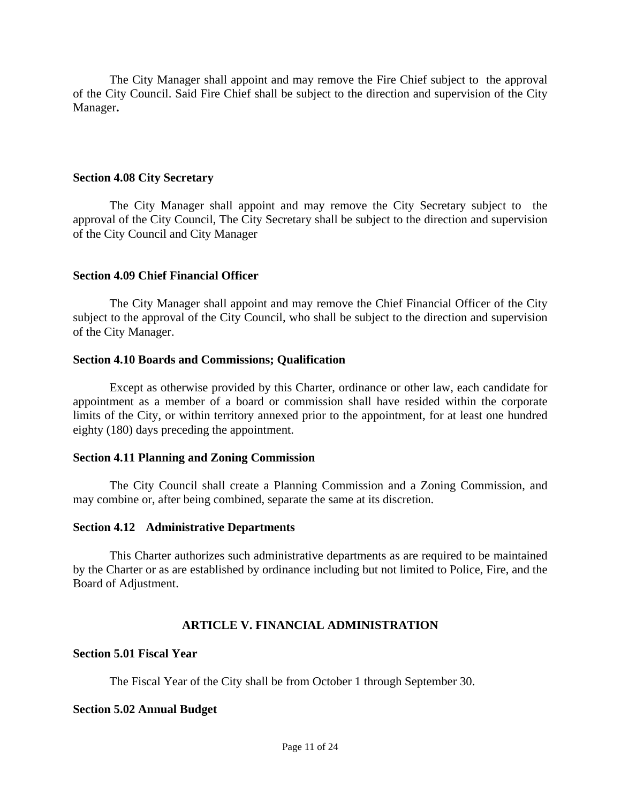The City Manager shall appoint and may remove the Fire Chief subject to the approval of the City Council. Said Fire Chief shall be subject to the direction and supervision of the City Manager**.**

#### **Section 4.08 City Secretary**

The City Manager shall appoint and may remove the City Secretary subject to the approval of the City Council, The City Secretary shall be subject to the direction and supervision of the City Council and City Manager

## **Section 4.09 Chief Financial Officer**

The City Manager shall appoint and may remove the Chief Financial Officer of the City subject to the approval of the City Council, who shall be subject to the direction and supervision of the City Manager.

## **Section 4.10 Boards and Commissions; Qualification**

Except as otherwise provided by this Charter, ordinance or other law, each candidate for appointment as a member of a board or commission shall have resided within the corporate limits of the City, or within territory annexed prior to the appointment, for at least one hundred eighty (180) days preceding the appointment.

# **Section 4.11 Planning and Zoning Commission**

The City Council shall create a Planning Commission and a Zoning Commission, and may combine or, after being combined, separate the same at its discretion.

#### **Section 4.12 Administrative Departments**

This Charter authorizes such administrative departments as are required to be maintained by the Charter or as are established by ordinance including but not limited to Police, Fire, and the Board of Adjustment.

# **ARTICLE V. FINANCIAL ADMINISTRATION**

#### **Section 5.01 Fiscal Year**

The Fiscal Year of the City shall be from October 1 through September 30.

#### **Section 5.02 Annual Budget**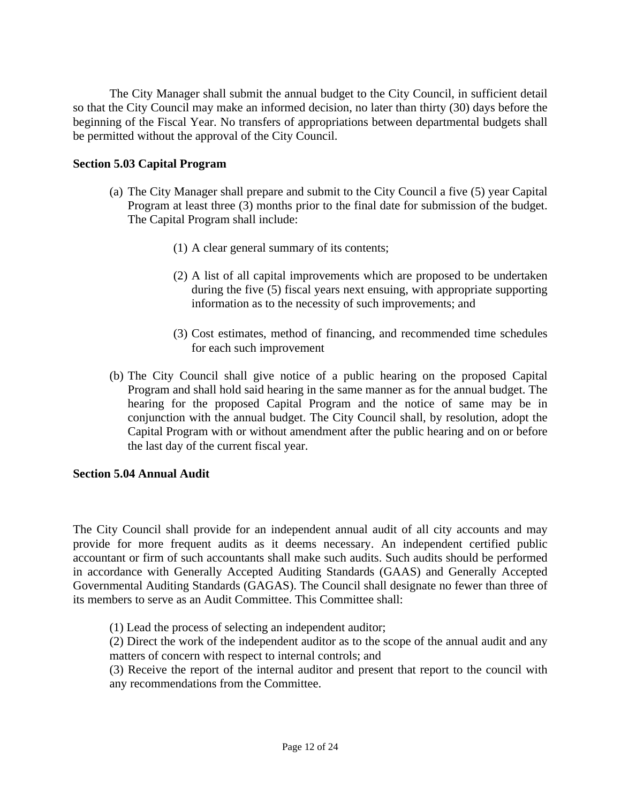The City Manager shall submit the annual budget to the City Council, in sufficient detail so that the City Council may make an informed decision, no later than thirty (30) days before the beginning of the Fiscal Year. No transfers of appropriations between departmental budgets shall be permitted without the approval of the City Council.

## **Section 5.03 Capital Program**

- (a) The City Manager shall prepare and submit to the City Council a five (5) year Capital Program at least three (3) months prior to the final date for submission of the budget. The Capital Program shall include:
	- (1) A clear general summary of its contents;
	- (2) A list of all capital improvements which are proposed to be undertaken during the five (5) fiscal years next ensuing, with appropriate supporting information as to the necessity of such improvements; and
	- (3) Cost estimates, method of financing, and recommended time schedules for each such improvement
- (b) The City Council shall give notice of a public hearing on the proposed Capital Program and shall hold said hearing in the same manner as for the annual budget. The hearing for the proposed Capital Program and the notice of same may be in conjunction with the annual budget. The City Council shall, by resolution, adopt the Capital Program with or without amendment after the public hearing and on or before the last day of the current fiscal year.

#### **Section 5.04 Annual Audit**

The City Council shall provide for an independent annual audit of all city accounts and may provide for more frequent audits as it deems necessary. An independent certified public accountant or firm of such accountants shall make such audits. Such audits should be performed in accordance with Generally Accepted Auditing Standards (GAAS) and Generally Accepted Governmental Auditing Standards (GAGAS). The Council shall designate no fewer than three of its members to serve as an Audit Committee. This Committee shall:

- (1) Lead the process of selecting an independent auditor;
- (2) Direct the work of the independent auditor as to the scope of the annual audit and any matters of concern with respect to internal controls; and

(3) Receive the report of the internal auditor and present that report to the council with any recommendations from the Committee.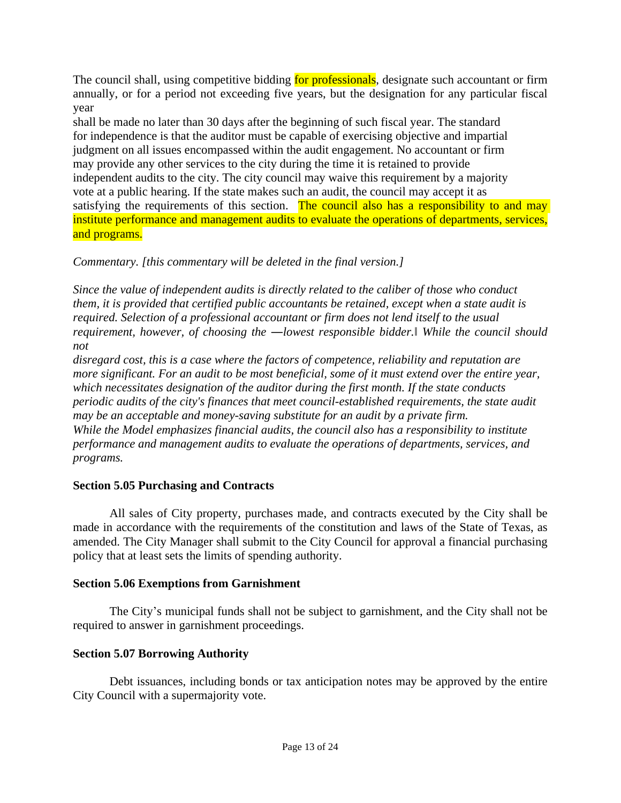The council shall, using competitive bidding for professionals, designate such accountant or firm annually, or for a period not exceeding five years, but the designation for any particular fiscal year

shall be made no later than 30 days after the beginning of such fiscal year. The standard for independence is that the auditor must be capable of exercising objective and impartial judgment on all issues encompassed within the audit engagement. No accountant or firm may provide any other services to the city during the time it is retained to provide independent audits to the city. The city council may waive this requirement by a majority vote at a public hearing. If the state makes such an audit, the council may accept it as satisfying the requirements of this section. The council also has a responsibility to and may institute performance and management audits to evaluate the operations of departments, services, and programs.

# *Commentary. [this commentary will be deleted in the final version.]*

*Since the value of independent audits is directly related to the caliber of those who conduct them, it is provided that certified public accountants be retained, except when a state audit is required. Selection of a professional accountant or firm does not lend itself to the usual requirement, however, of choosing the ―lowest responsible bidder.‖ While the council should not*

*disregard cost, this is a case where the factors of competence, reliability and reputation are more significant. For an audit to be most beneficial, some of it must extend over the entire year, which necessitates designation of the auditor during the first month. If the state conducts periodic audits of the city's finances that meet council-established requirements, the state audit may be an acceptable and money-saving substitute for an audit by a private firm. While the Model emphasizes financial audits, the council also has a responsibility to institute performance and management audits to evaluate the operations of departments, services, and programs.*

# **Section 5.05 Purchasing and Contracts**

All sales of City property, purchases made, and contracts executed by the City shall be made in accordance with the requirements of the constitution and laws of the State of Texas, as amended. The City Manager shall submit to the City Council for approval a financial purchasing policy that at least sets the limits of spending authority.

# **Section 5.06 Exemptions from Garnishment**

The City's municipal funds shall not be subject to garnishment, and the City shall not be required to answer in garnishment proceedings.

# **Section 5.07 Borrowing Authority**

Debt issuances, including bonds or tax anticipation notes may be approved by the entire City Council with a supermajority vote.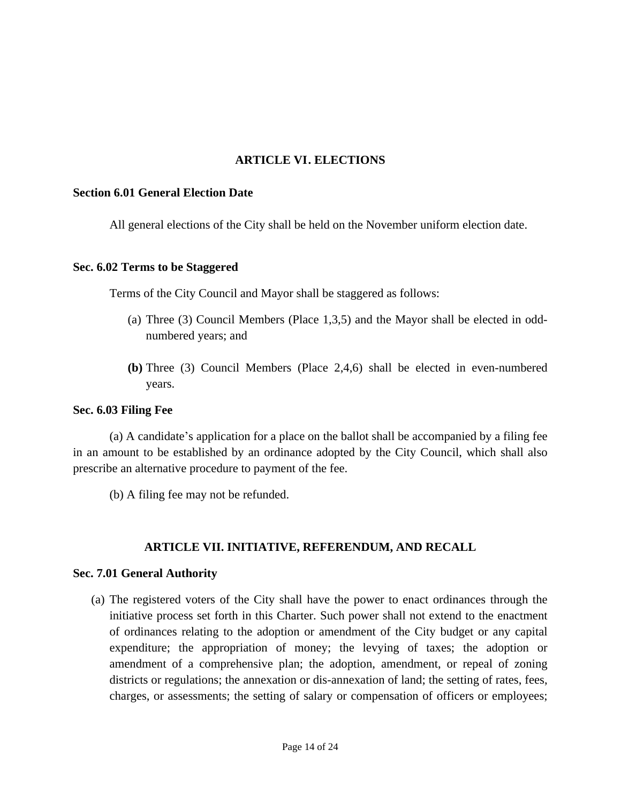# **ARTICLE VI. ELECTIONS**

#### **Section 6.01 General Election Date**

All general elections of the City shall be held on the November uniform election date.

#### **Sec. 6.02 Terms to be Staggered**

Terms of the City Council and Mayor shall be staggered as follows:

- (a) Three (3) Council Members (Place 1,3,5) and the Mayor shall be elected in oddnumbered years; and
- **(b)** Three (3) Council Members (Place 2,4,6) shall be elected in even-numbered years.

#### **Sec. 6.03 Filing Fee**

(a) A candidate's application for a place on the ballot shall be accompanied by a filing fee in an amount to be established by an ordinance adopted by the City Council, which shall also prescribe an alternative procedure to payment of the fee.

(b) A filing fee may not be refunded.

# **ARTICLE VII. INITIATIVE, REFERENDUM, AND RECALL**

#### **Sec. 7.01 General Authority**

(a) The registered voters of the City shall have the power to enact ordinances through the initiative process set forth in this Charter. Such power shall not extend to the enactment of ordinances relating to the adoption or amendment of the City budget or any capital expenditure; the appropriation of money; the levying of taxes; the adoption or amendment of a comprehensive plan; the adoption, amendment, or repeal of zoning districts or regulations; the annexation or dis-annexation of land; the setting of rates, fees, charges, or assessments; the setting of salary or compensation of officers or employees;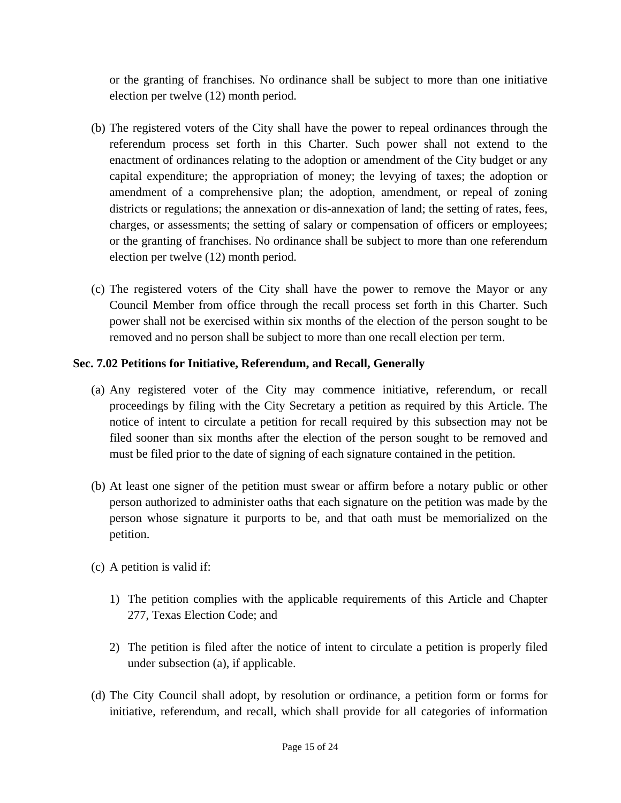or the granting of franchises. No ordinance shall be subject to more than one initiative election per twelve (12) month period.

- (b) The registered voters of the City shall have the power to repeal ordinances through the referendum process set forth in this Charter. Such power shall not extend to the enactment of ordinances relating to the adoption or amendment of the City budget or any capital expenditure; the appropriation of money; the levying of taxes; the adoption or amendment of a comprehensive plan; the adoption, amendment, or repeal of zoning districts or regulations; the annexation or dis-annexation of land; the setting of rates, fees, charges, or assessments; the setting of salary or compensation of officers or employees; or the granting of franchises. No ordinance shall be subject to more than one referendum election per twelve (12) month period.
- (c) The registered voters of the City shall have the power to remove the Mayor or any Council Member from office through the recall process set forth in this Charter. Such power shall not be exercised within six months of the election of the person sought to be removed and no person shall be subject to more than one recall election per term.

# **Sec. 7.02 Petitions for Initiative, Referendum, and Recall, Generally**

- (a) Any registered voter of the City may commence initiative, referendum, or recall proceedings by filing with the City Secretary a petition as required by this Article. The notice of intent to circulate a petition for recall required by this subsection may not be filed sooner than six months after the election of the person sought to be removed and must be filed prior to the date of signing of each signature contained in the petition.
- (b) At least one signer of the petition must swear or affirm before a notary public or other person authorized to administer oaths that each signature on the petition was made by the person whose signature it purports to be, and that oath must be memorialized on the petition.
- (c) A petition is valid if:
	- 1) The petition complies with the applicable requirements of this Article and Chapter 277, Texas Election Code; and
	- 2) The petition is filed after the notice of intent to circulate a petition is properly filed under subsection (a), if applicable.
- (d) The City Council shall adopt, by resolution or ordinance, a petition form or forms for initiative, referendum, and recall, which shall provide for all categories of information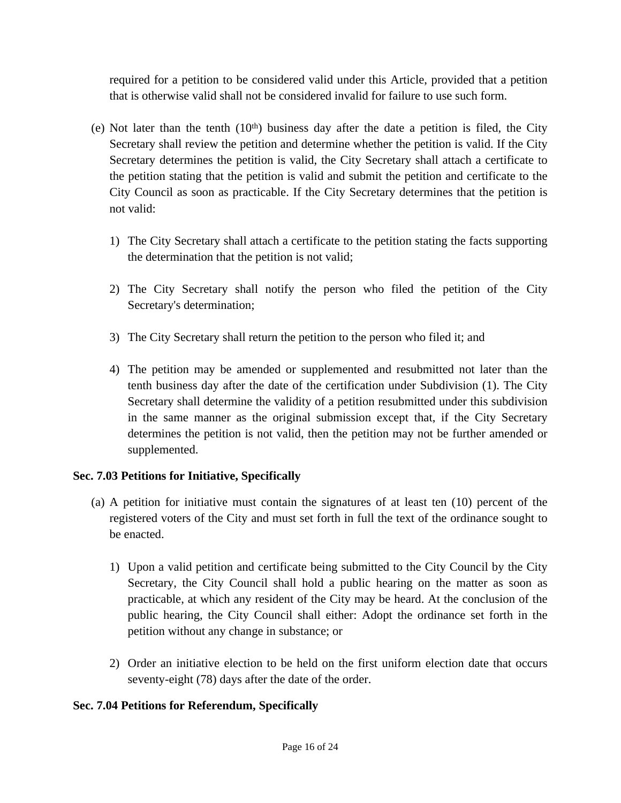required for a petition to be considered valid under this Article, provided that a petition that is otherwise valid shall not be considered invalid for failure to use such form.

- (e) Not later than the tenth  $(10<sup>th</sup>)$  business day after the date a petition is filed, the City Secretary shall review the petition and determine whether the petition is valid. If the City Secretary determines the petition is valid, the City Secretary shall attach a certificate to the petition stating that the petition is valid and submit the petition and certificate to the City Council as soon as practicable. If the City Secretary determines that the petition is not valid:
	- 1) The City Secretary shall attach a certificate to the petition stating the facts supporting the determination that the petition is not valid;
	- 2) The City Secretary shall notify the person who filed the petition of the City Secretary's determination;
	- 3) The City Secretary shall return the petition to the person who filed it; and
	- 4) The petition may be amended or supplemented and resubmitted not later than the tenth business day after the date of the certification under Subdivision (1). The City Secretary shall determine the validity of a petition resubmitted under this subdivision in the same manner as the original submission except that, if the City Secretary determines the petition is not valid, then the petition may not be further amended or supplemented.

# **Sec. 7.03 Petitions for Initiative, Specifically**

- (a) A petition for initiative must contain the signatures of at least ten (10) percent of the registered voters of the City and must set forth in full the text of the ordinance sought to be enacted.
	- 1) Upon a valid petition and certificate being submitted to the City Council by the City Secretary, the City Council shall hold a public hearing on the matter as soon as practicable, at which any resident of the City may be heard. At the conclusion of the public hearing, the City Council shall either: Adopt the ordinance set forth in the petition without any change in substance; or
	- 2) Order an initiative election to be held on the first uniform election date that occurs seventy-eight (78) days after the date of the order.

# **Sec. 7.04 Petitions for Referendum, Specifically**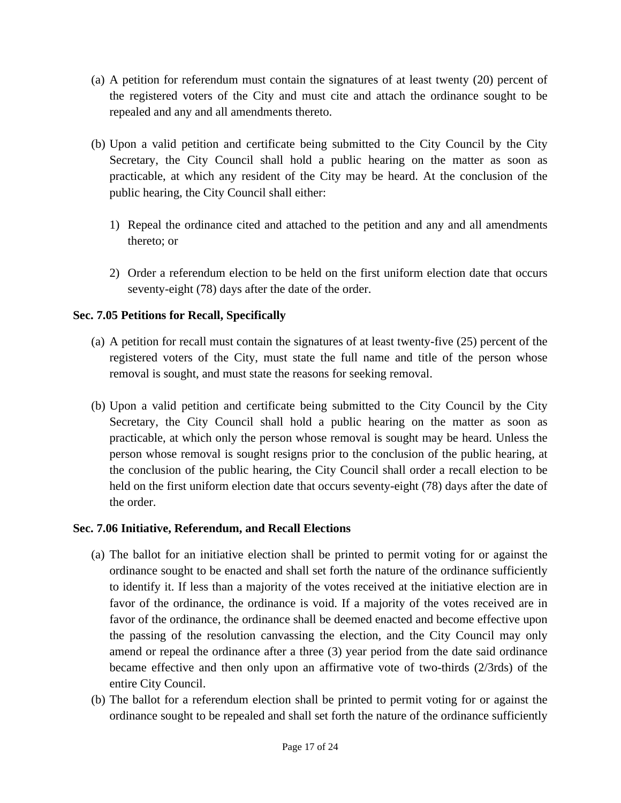- (a) A petition for referendum must contain the signatures of at least twenty (20) percent of the registered voters of the City and must cite and attach the ordinance sought to be repealed and any and all amendments thereto.
- (b) Upon a valid petition and certificate being submitted to the City Council by the City Secretary, the City Council shall hold a public hearing on the matter as soon as practicable, at which any resident of the City may be heard. At the conclusion of the public hearing, the City Council shall either:
	- 1) Repeal the ordinance cited and attached to the petition and any and all amendments thereto; or
	- 2) Order a referendum election to be held on the first uniform election date that occurs seventy-eight (78) days after the date of the order.

# **Sec. 7.05 Petitions for Recall, Specifically**

- (a) A petition for recall must contain the signatures of at least twenty-five (25) percent of the registered voters of the City, must state the full name and title of the person whose removal is sought, and must state the reasons for seeking removal.
- (b) Upon a valid petition and certificate being submitted to the City Council by the City Secretary, the City Council shall hold a public hearing on the matter as soon as practicable, at which only the person whose removal is sought may be heard. Unless the person whose removal is sought resigns prior to the conclusion of the public hearing, at the conclusion of the public hearing, the City Council shall order a recall election to be held on the first uniform election date that occurs seventy-eight (78) days after the date of the order.

# **Sec. 7.06 Initiative, Referendum, and Recall Elections**

- (a) The ballot for an initiative election shall be printed to permit voting for or against the ordinance sought to be enacted and shall set forth the nature of the ordinance sufficiently to identify it. If less than a majority of the votes received at the initiative election are in favor of the ordinance, the ordinance is void. If a majority of the votes received are in favor of the ordinance, the ordinance shall be deemed enacted and become effective upon the passing of the resolution canvassing the election, and the City Council may only amend or repeal the ordinance after a three (3) year period from the date said ordinance became effective and then only upon an affirmative vote of two-thirds (2/3rds) of the entire City Council.
- (b) The ballot for a referendum election shall be printed to permit voting for or against the ordinance sought to be repealed and shall set forth the nature of the ordinance sufficiently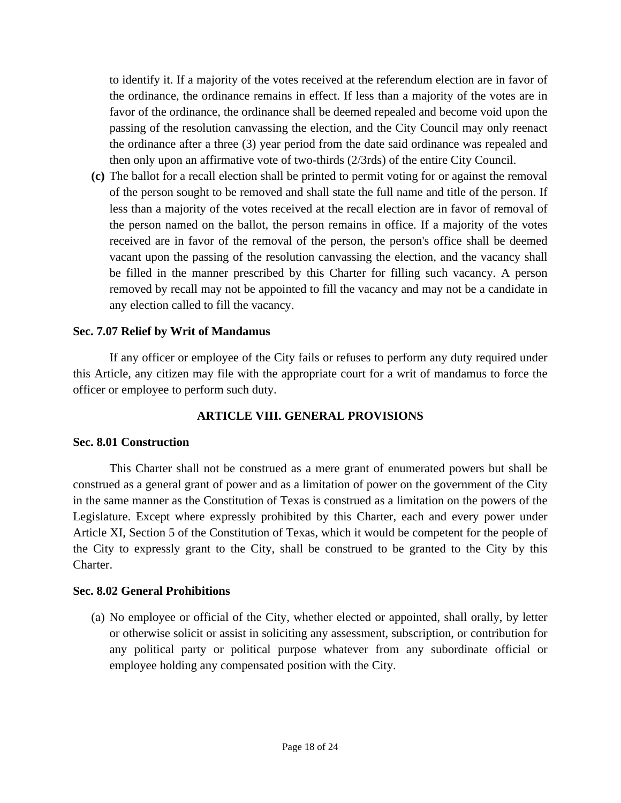to identify it. If a majority of the votes received at the referendum election are in favor of the ordinance, the ordinance remains in effect. If less than a majority of the votes are in favor of the ordinance, the ordinance shall be deemed repealed and become void upon the passing of the resolution canvassing the election, and the City Council may only reenact the ordinance after a three (3) year period from the date said ordinance was repealed and then only upon an affirmative vote of two-thirds (2/3rds) of the entire City Council.

**(c)** The ballot for a recall election shall be printed to permit voting for or against the removal of the person sought to be removed and shall state the full name and title of the person. If less than a majority of the votes received at the recall election are in favor of removal of the person named on the ballot, the person remains in office. If a majority of the votes received are in favor of the removal of the person, the person's office shall be deemed vacant upon the passing of the resolution canvassing the election, and the vacancy shall be filled in the manner prescribed by this Charter for filling such vacancy. A person removed by recall may not be appointed to fill the vacancy and may not be a candidate in any election called to fill the vacancy.

# **Sec. 7.07 Relief by Writ of Mandamus**

If any officer or employee of the City fails or refuses to perform any duty required under this Article, any citizen may file with the appropriate court for a writ of mandamus to force the officer or employee to perform such duty.

# **ARTICLE VIII. GENERAL PROVISIONS**

#### **Sec. 8.01 Construction**

This Charter shall not be construed as a mere grant of enumerated powers but shall be construed as a general grant of power and as a limitation of power on the government of the City in the same manner as the Constitution of Texas is construed as a limitation on the powers of the Legislature. Except where expressly prohibited by this Charter, each and every power under Article XI, Section 5 of the Constitution of Texas, which it would be competent for the people of the City to expressly grant to the City, shall be construed to be granted to the City by this Charter.

#### **Sec. 8.02 General Prohibitions**

(a) No employee or official of the City, whether elected or appointed, shall orally, by letter or otherwise solicit or assist in soliciting any assessment, subscription, or contribution for any political party or political purpose whatever from any subordinate official or employee holding any compensated position with the City.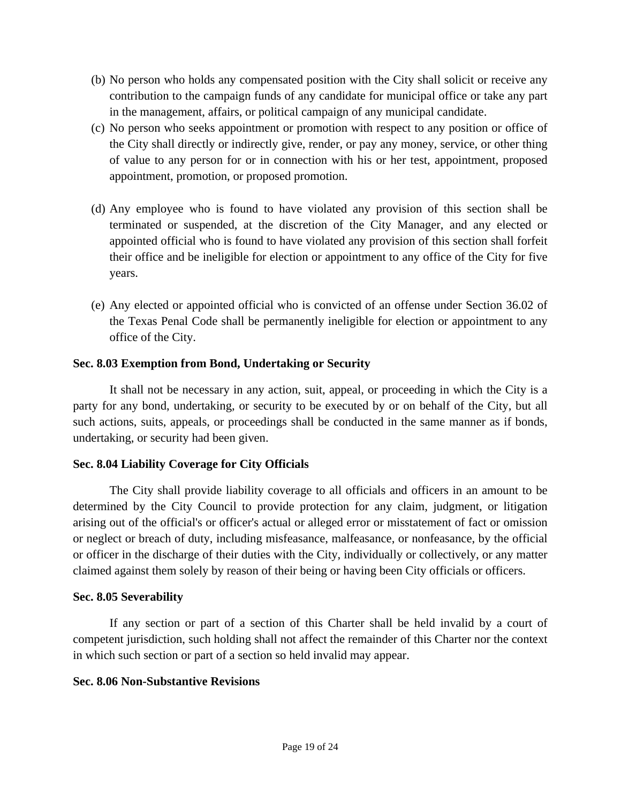- (b) No person who holds any compensated position with the City shall solicit or receive any contribution to the campaign funds of any candidate for municipal office or take any part in the management, affairs, or political campaign of any municipal candidate.
- (c) No person who seeks appointment or promotion with respect to any position or office of the City shall directly or indirectly give, render, or pay any money, service, or other thing of value to any person for or in connection with his or her test, appointment, proposed appointment, promotion, or proposed promotion.
- (d) Any employee who is found to have violated any provision of this section shall be terminated or suspended, at the discretion of the City Manager, and any elected or appointed official who is found to have violated any provision of this section shall forfeit their office and be ineligible for election or appointment to any office of the City for five years.
- (e) Any elected or appointed official who is convicted of an offense under Section 36.02 of the Texas Penal Code shall be permanently ineligible for election or appointment to any office of the City.

# **Sec. 8.03 Exemption from Bond, Undertaking or Security**

It shall not be necessary in any action, suit, appeal, or proceeding in which the City is a party for any bond, undertaking, or security to be executed by or on behalf of the City, but all such actions, suits, appeals, or proceedings shall be conducted in the same manner as if bonds, undertaking, or security had been given.

# **Sec. 8.04 Liability Coverage for City Officials**

The City shall provide liability coverage to all officials and officers in an amount to be determined by the City Council to provide protection for any claim, judgment, or litigation arising out of the official's or officer's actual or alleged error or misstatement of fact or omission or neglect or breach of duty, including misfeasance, malfeasance, or nonfeasance, by the official or officer in the discharge of their duties with the City, individually or collectively, or any matter claimed against them solely by reason of their being or having been City officials or officers.

# **Sec. 8.05 Severability**

If any section or part of a section of this Charter shall be held invalid by a court of competent jurisdiction, such holding shall not affect the remainder of this Charter nor the context in which such section or part of a section so held invalid may appear.

# **Sec. 8.06 Non-Substantive Revisions**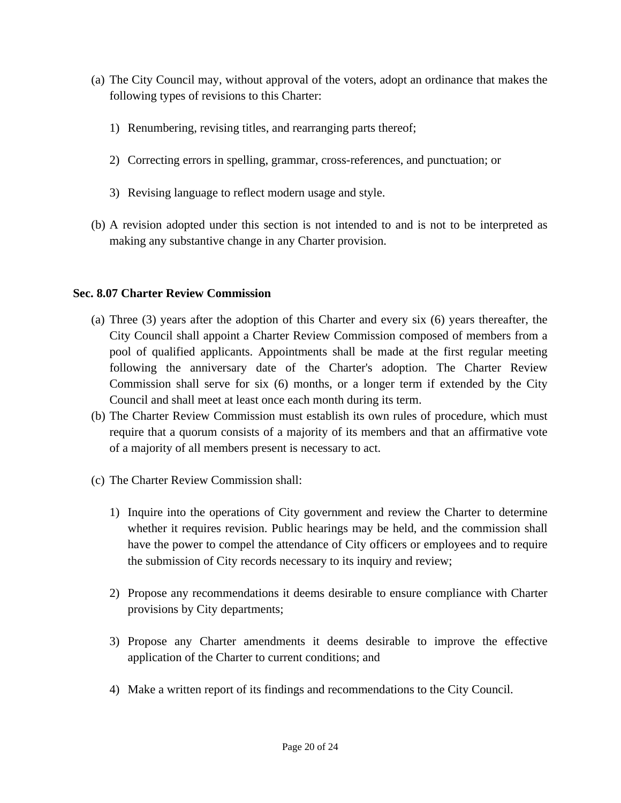- (a) The City Council may, without approval of the voters, adopt an ordinance that makes the following types of revisions to this Charter:
	- 1) Renumbering, revising titles, and rearranging parts thereof;
	- 2) Correcting errors in spelling, grammar, cross-references, and punctuation; or
	- 3) Revising language to reflect modern usage and style.
- (b) A revision adopted under this section is not intended to and is not to be interpreted as making any substantive change in any Charter provision.

# **Sec. 8.07 Charter Review Commission**

- (a) Three (3) years after the adoption of this Charter and every six (6) years thereafter, the City Council shall appoint a Charter Review Commission composed of members from a pool of qualified applicants. Appointments shall be made at the first regular meeting following the anniversary date of the Charter's adoption. The Charter Review Commission shall serve for six (6) months, or a longer term if extended by the City Council and shall meet at least once each month during its term.
- (b) The Charter Review Commission must establish its own rules of procedure, which must require that a quorum consists of a majority of its members and that an affirmative vote of a majority of all members present is necessary to act.
- (c) The Charter Review Commission shall:
	- 1) Inquire into the operations of City government and review the Charter to determine whether it requires revision. Public hearings may be held, and the commission shall have the power to compel the attendance of City officers or employees and to require the submission of City records necessary to its inquiry and review;
	- 2) Propose any recommendations it deems desirable to ensure compliance with Charter provisions by City departments;
	- 3) Propose any Charter amendments it deems desirable to improve the effective application of the Charter to current conditions; and
	- 4) Make a written report of its findings and recommendations to the City Council.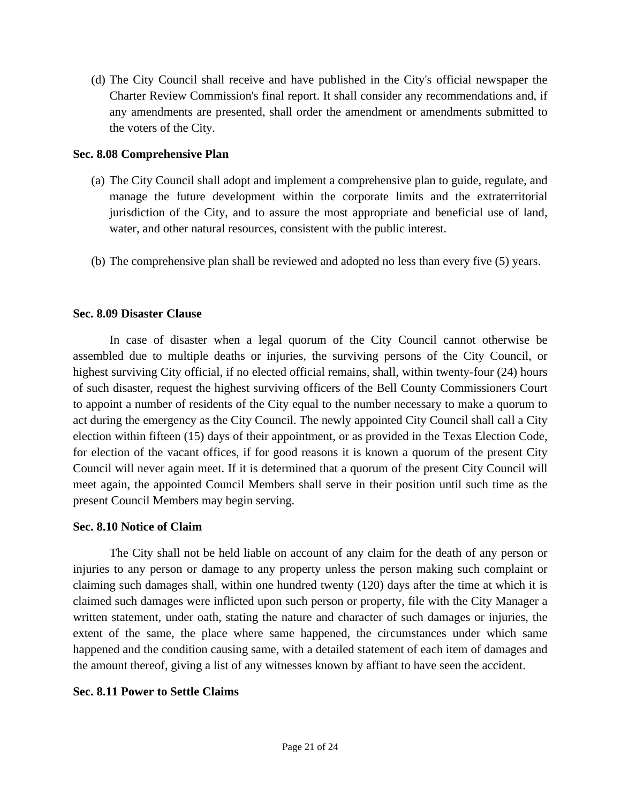(d) The City Council shall receive and have published in the City's official newspaper the Charter Review Commission's final report. It shall consider any recommendations and, if any amendments are presented, shall order the amendment or amendments submitted to the voters of the City.

## **Sec. 8.08 Comprehensive Plan**

- (a) The City Council shall adopt and implement a comprehensive plan to guide, regulate, and manage the future development within the corporate limits and the extraterritorial jurisdiction of the City, and to assure the most appropriate and beneficial use of land, water, and other natural resources, consistent with the public interest.
- (b) The comprehensive plan shall be reviewed and adopted no less than every five (5) years.

# **Sec. 8.09 Disaster Clause**

In case of disaster when a legal quorum of the City Council cannot otherwise be assembled due to multiple deaths or injuries, the surviving persons of the City Council, or highest surviving City official, if no elected official remains, shall, within twenty-four (24) hours of such disaster, request the highest surviving officers of the Bell County Commissioners Court to appoint a number of residents of the City equal to the number necessary to make a quorum to act during the emergency as the City Council. The newly appointed City Council shall call a City election within fifteen (15) days of their appointment, or as provided in the Texas Election Code, for election of the vacant offices, if for good reasons it is known a quorum of the present City Council will never again meet. If it is determined that a quorum of the present City Council will meet again, the appointed Council Members shall serve in their position until such time as the present Council Members may begin serving.

# **Sec. 8.10 Notice of Claim**

The City shall not be held liable on account of any claim for the death of any person or injuries to any person or damage to any property unless the person making such complaint or claiming such damages shall, within one hundred twenty (120) days after the time at which it is claimed such damages were inflicted upon such person or property, file with the City Manager a written statement, under oath, stating the nature and character of such damages or injuries, the extent of the same, the place where same happened, the circumstances under which same happened and the condition causing same, with a detailed statement of each item of damages and the amount thereof, giving a list of any witnesses known by affiant to have seen the accident.

# **Sec. 8.11 Power to Settle Claims**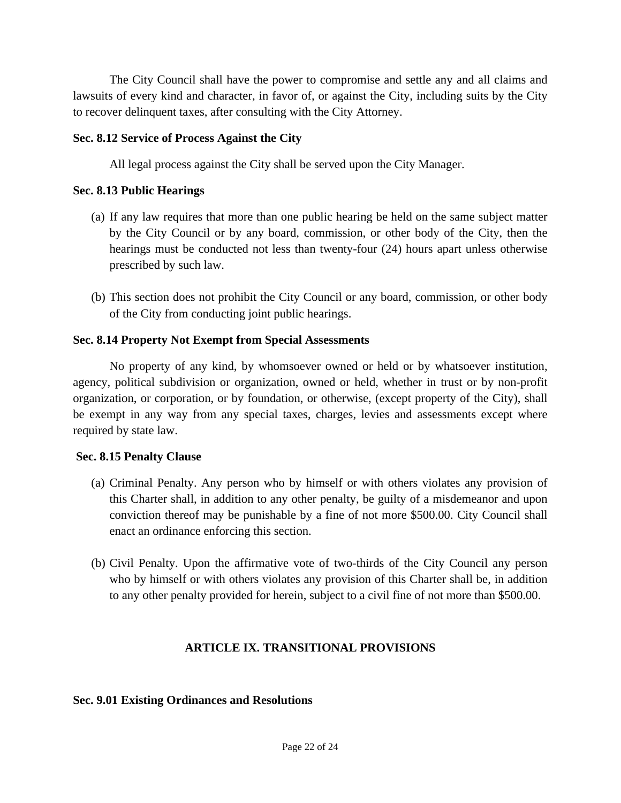The City Council shall have the power to compromise and settle any and all claims and lawsuits of every kind and character, in favor of, or against the City, including suits by the City to recover delinquent taxes, after consulting with the City Attorney.

# **Sec. 8.12 Service of Process Against the City**

All legal process against the City shall be served upon the City Manager.

# **Sec. 8.13 Public Hearings**

- (a) If any law requires that more than one public hearing be held on the same subject matter by the City Council or by any board, commission, or other body of the City, then the hearings must be conducted not less than twenty-four (24) hours apart unless otherwise prescribed by such law.
- (b) This section does not prohibit the City Council or any board, commission, or other body of the City from conducting joint public hearings.

# **Sec. 8.14 Property Not Exempt from Special Assessments**

No property of any kind, by whomsoever owned or held or by whatsoever institution, agency, political subdivision or organization, owned or held, whether in trust or by non-profit organization, or corporation, or by foundation, or otherwise, (except property of the City), shall be exempt in any way from any special taxes, charges, levies and assessments except where required by state law.

# **Sec. 8.15 Penalty Clause**

- (a) Criminal Penalty. Any person who by himself or with others violates any provision of this Charter shall, in addition to any other penalty, be guilty of a misdemeanor and upon conviction thereof may be punishable by a fine of not more \$500.00. City Council shall enact an ordinance enforcing this section.
- (b) Civil Penalty. Upon the affirmative vote of two-thirds of the City Council any person who by himself or with others violates any provision of this Charter shall be, in addition to any other penalty provided for herein, subject to a civil fine of not more than \$500.00.

# **ARTICLE IX. TRANSITIONAL PROVISIONS**

# **Sec. 9.01 Existing Ordinances and Resolutions**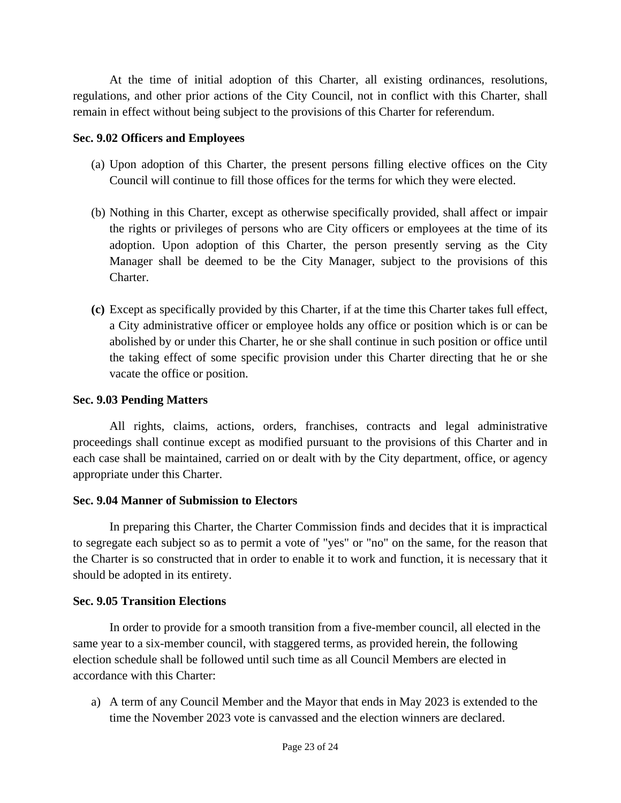At the time of initial adoption of this Charter, all existing ordinances, resolutions, regulations, and other prior actions of the City Council, not in conflict with this Charter, shall remain in effect without being subject to the provisions of this Charter for referendum.

# **Sec. 9.02 Officers and Employees**

- (a) Upon adoption of this Charter, the present persons filling elective offices on the City Council will continue to fill those offices for the terms for which they were elected.
- (b) Nothing in this Charter, except as otherwise specifically provided, shall affect or impair the rights or privileges of persons who are City officers or employees at the time of its adoption. Upon adoption of this Charter, the person presently serving as the City Manager shall be deemed to be the City Manager, subject to the provisions of this Charter.
- **(c)** Except as specifically provided by this Charter, if at the time this Charter takes full effect, a City administrative officer or employee holds any office or position which is or can be abolished by or under this Charter, he or she shall continue in such position or office until the taking effect of some specific provision under this Charter directing that he or she vacate the office or position.

# **Sec. 9.03 Pending Matters**

All rights, claims, actions, orders, franchises, contracts and legal administrative proceedings shall continue except as modified pursuant to the provisions of this Charter and in each case shall be maintained, carried on or dealt with by the City department, office, or agency appropriate under this Charter.

# **Sec. 9.04 Manner of Submission to Electors**

In preparing this Charter, the Charter Commission finds and decides that it is impractical to segregate each subject so as to permit a vote of "yes" or "no" on the same, for the reason that the Charter is so constructed that in order to enable it to work and function, it is necessary that it should be adopted in its entirety.

# **Sec. 9.05 Transition Elections**

In order to provide for a smooth transition from a five-member council, all elected in the same year to a six-member council, with staggered terms, as provided herein, the following election schedule shall be followed until such time as all Council Members are elected in accordance with this Charter:

a) A term of any Council Member and the Mayor that ends in May 2023 is extended to the time the November 2023 vote is canvassed and the election winners are declared.